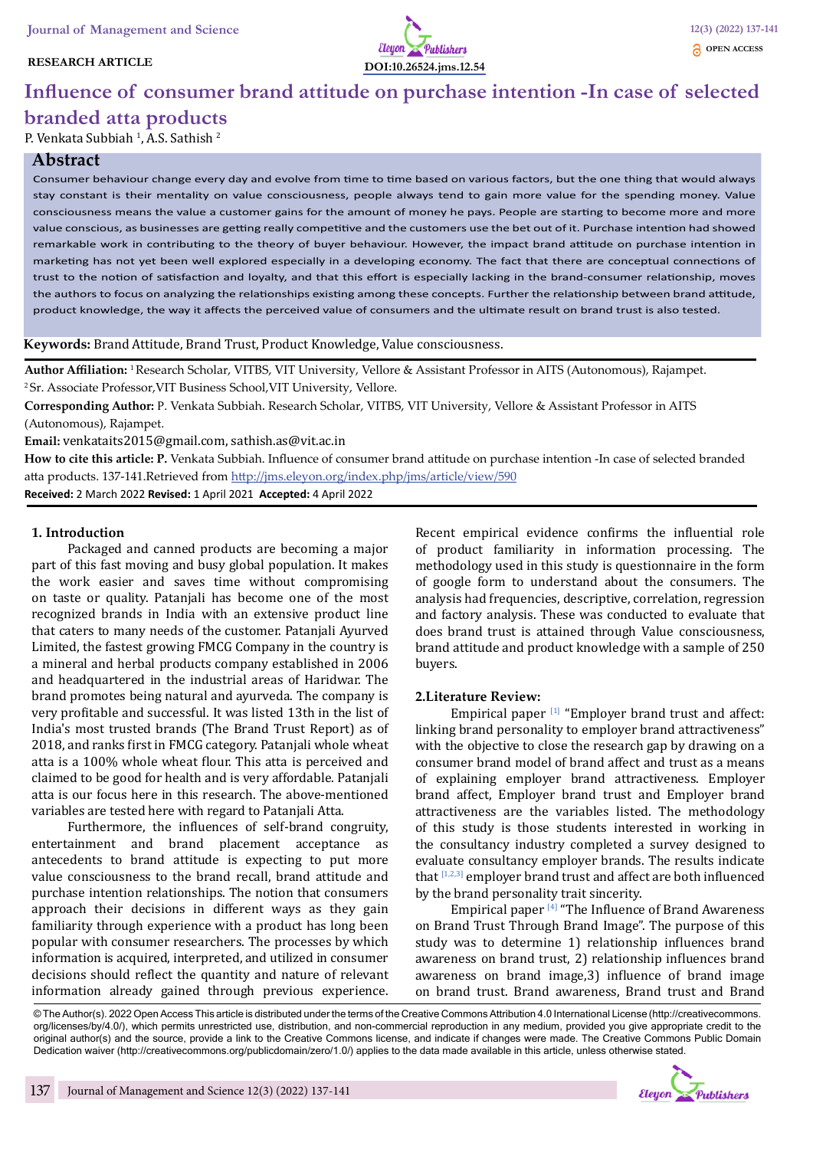#### **RESEARCH ARTICLE**



# **Influence of consumer brand attitude on purchase intention -In case of selected**

## **branded atta products**

P. Venkata Subbiah <sup>1</sup>, A.S. Sathish <sup>2</sup>

## **Abstract**

Consumer behaviour change every day and evolve from time to time based on various factors, but the one thing that would always stay constant is their mentality on value consciousness, people always tend to gain more value for the spending money. Value consciousness means the value a customer gains for the amount of money he pays. People are starting to become more and more value conscious, as businesses are getting really competitive and the customers use the bet out of it. Purchase intention had showed remarkable work in contributing to the theory of buyer behaviour. However, the impact brand attitude on purchase intention in marketing has not yet been well explored especially in a developing economy. The fact that there are conceptual connections of trust to the notion of satisfaction and loyalty, and that this effort is especially lacking in the brand-consumer relationship, moves the authors to focus on analyzing the relationships existing among these concepts. Further the relationship between brand attitude, product knowledge, the way it affects the perceived value of consumers and the ultimate result on brand trust is also tested.

**Keywords:** Brand Attitude, Brand Trust, Product Knowledge, Value consciousness.

**Author Affiliation:** 1 Research Scholar, VITBS, VIT University, Vellore & Assistant Professor in AITS (Autonomous), Rajampet. 2 Sr. Associate Professor,VIT Business School,VIT University, Vellore.

**Corresponding Author:** P. Venkata Subbiah. Research Scholar, VITBS, VIT University, Vellore & Assistant Professor in AITS (Autonomous), Rajampet.

**Email:** venkataits2015@gmail.com, sathish.as@vit.ac.in

**How to cite this article: P.** Venkata Subbiah. Influence of consumer brand attitude on purchase intention -In case of selected branded atta products. 137-141.Retrieved from http://jms.eleyon.org/index.php/jms/article/view/590 **Received:** 2 March 2022 **Revised:** 1 April 2021 **Accepted:** 4 April 2022

#### **1. Introduction**

Packaged and canned products are becoming a major part of this fast moving and busy global population. It makes the work easier and saves time without compromising on taste or quality. Patanjali has become one of the most recognized brands in India with an extensive product line that caters to many needs of the customer. Patanjali Ayurved Limited, the fastest growing FMCG Company in the country is a mineral and herbal products company established in 2006 and headquartered in the industrial areas of Haridwar. The brand promotes being natural and ayurveda. The company is very profitable and successful. It was listed 13th in the list of India's most trusted brands (The Brand Trust Report) as of 2018, and ranks first in FMCG category. Patanjali whole wheat atta is a 100% whole wheat flour. This atta is perceived and claimed to be good for health and is very affordable. Patanjali atta is our focus here in this research. The above-mentioned variables are tested here with regard to Patanjali Atta.

Furthermore, the influences of self-brand congruity, entertainment and brand placement acceptance as antecedents to brand attitude is expecting to put more value consciousness to the brand recall, brand attitude and purchase intention relationships. The notion that consumers approach their decisions in different ways as they gain familiarity through experience with a product has long been popular with consumer researchers. The processes by which information is acquired, interpreted, and utilized in consumer decisions should reflect the quantity and nature of relevant information already gained through previous experience.

Recent empirical evidence confirms the influential role of product familiarity in information processing. The methodology used in this study is questionnaire in the form of google form to understand about the consumers. The analysis had frequencies, descriptive, correlation, regression and factory analysis. These was conducted to evaluate that does brand trust is attained through Value consciousness, brand attitude and product knowledge with a sample of 250 buyers.

#### **2.Literature Review:**

Empirical paper  $[1]$  "Employer brand trust and affect: linking brand personality to employer brand attractiveness" with the objective to close the research gap by drawing on a consumer brand model of brand affect and trust as a means of explaining employer brand attractiveness. Employer brand affect, Employer brand trust and Employer brand attractiveness are the variables listed. The methodology of this study is those students interested in working in the consultancy industry completed a survey designed to evaluate consultancy employer brands. The results indicate that [1,2,3] employer brand trust and affect are both influenced by the brand personality trait sincerity.

Empirical paper [4] "The Influence of Brand Awareness on Brand Trust Through Brand Image". The purpose of this study was to determine 1) relationship influences brand awareness on brand trust, 2) relationship influences brand awareness on brand image,3) influence of brand image on brand trust. Brand awareness, Brand trust and Brand

© The Author(s). 2022 Open Access This article is distributed under the terms of the Creative Commons Attribution 4.0 International License (http://creativecommons. org/licenses/by/4.0/), which permits unrestricted use, distribution, and non-commercial reproduction in any medium, provided you give appropriate credit to the original author(s) and the source, provide a link to the Creative Commons license, and indicate if changes were made. The Creative Commons Public Domain Dedication waiver (http://creativecommons.org/publicdomain/zero/1.0/) applies to the data made available in this article, unless otherwise stated.

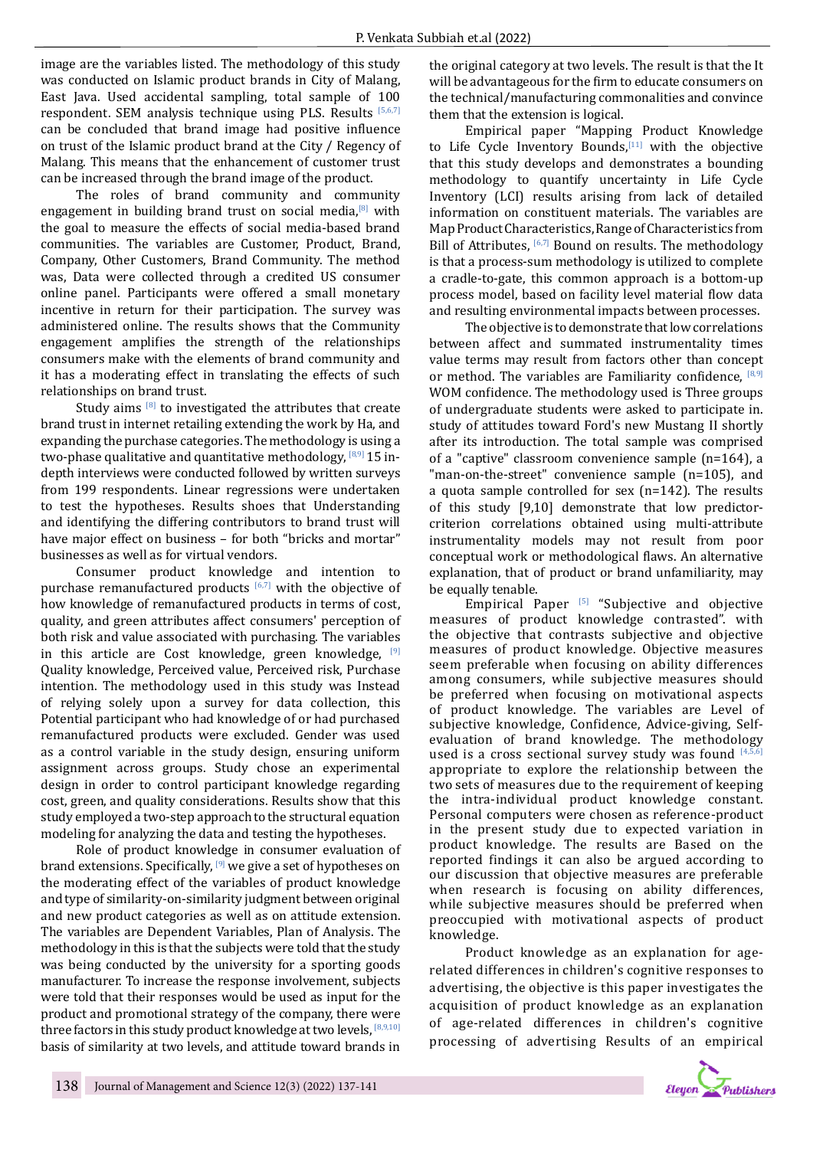image are the variables listed. The methodology of this study was conducted on Islamic product brands in City of Malang, East Java. Used accidental sampling, total sample of 100 respondent. SEM analysis technique using PLS. Results  $[5,6,7]$ can be concluded that brand image had positive influence on trust of the Islamic product brand at the City / Regency of Malang. This means that the enhancement of customer trust can be increased through the brand image of the product.

The roles of brand community and community engagement in building brand trust on social media, $[8]$  with the goal to measure the effects of social media-based brand communities. The variables are Customer, Product, Brand, Company, Other Customers, Brand Community. The method was, Data were collected through a credited US consumer online panel. Participants were offered a small monetary incentive in return for their participation. The survey was administered online. The results shows that the Community engagement amplifies the strength of the relationships consumers make with the elements of brand community and it has a moderating effect in translating the effects of such relationships on brand trust.

Study aims  $[8]$  to investigated the attributes that create brand trust in internet retailing extending the work by Ha, and expanding the purchase categories. The methodology is using a two-phase qualitative and quantitative methodology,  $[8,9]$  15 indepth interviews were conducted followed by written surveys from 199 respondents. Linear regressions were undertaken to test the hypotheses. Results shoes that Understanding and identifying the differing contributors to brand trust will have major effect on business – for both "bricks and mortar" businesses as well as for virtual vendors.

Consumer product knowledge and intention to purchase remanufactured products  $[6,7]$  with the objective of how knowledge of remanufactured products in terms of cost, quality, and green attributes affect consumers' perception of both risk and value associated with purchasing. The variables in this article are Cost knowledge, green knowledge, <sup>[9]</sup> Quality knowledge, Perceived value, Perceived risk, Purchase intention. The methodology used in this study was Instead of relying solely upon a survey for data collection, this Potential participant who had knowledge of or had purchased remanufactured products were excluded. Gender was used as a control variable in the study design, ensuring uniform assignment across groups. Study chose an experimental design in order to control participant knowledge regarding cost, green, and quality considerations. Results show that this study employed a two-step approach to the structural equation modeling for analyzing the data and testing the hypotheses.

Role of product knowledge in consumer evaluation of brand extensions. Specifically,  $[9]$  we give a set of hypotheses on the moderating effect of the variables of product knowledge and type of similarity-on-similarity judgment between original and new product categories as well as on attitude extension. The variables are Dependent Variables, Plan of Analysis. The methodology in this is that the subjects were told that the study was being conducted by the university for a sporting goods manufacturer. To increase the response involvement, subjects were told that their responses would be used as input for the product and promotional strategy of the company, there were three factors in this study product knowledge at two levels.  $[8,9,10]$ basis of similarity at two levels, and attitude toward brands in

the original category at two levels. The result is that the It will be advantageous for the firm to educate consumers on the technical/manufacturing commonalities and convince them that the extension is logical.

Empirical paper "Mapping Product Knowledge to Life Cycle Inventory Bounds, $[11]$  with the objective that this study develops and demonstrates a bounding methodology to quantify uncertainty in Life Cycle Inventory (LCI) results arising from lack of detailed information on constituent materials. The variables are Map Product Characteristics, Range of Characteristics from Bill of Attributes, <sup>[6,7]</sup> Bound on results. The methodology is that a process-sum methodology is utilized to complete a cradle-to-gate, this common approach is a bottom-up process model, based on facility level material flow data and resulting environmental impacts between processes.

The objective is to demonstrate that low correlations between affect and summated instrumentality times value terms may result from factors other than concept or method. The variables are Familiarity confidence,  $[8,9]$ WOM confidence. The methodology used is Three groups of undergraduate students were asked to participate in. study of attitudes toward Ford's new Mustang II shortly after its introduction. The total sample was comprised of a "captive" classroom convenience sample (n=164), a "man-on-the-street" convenience sample (n=105), and a quota sample controlled for sex (n=142). The results of this study [9,10] demonstrate that low predictorcriterion correlations obtained using multi-attribute instrumentality models may not result from poor conceptual work or methodological flaws. An alternative explanation, that of product or brand unfamiliarity, may be equally tenable.

Empirical Paper  $[5]$  "Subjective and objective measures of product knowledge contrasted". with the objective that contrasts subjective and objective measures of product knowledge. Objective measures seem preferable when focusing on ability differences among consumers, while subjective measures should be preferred when focusing on motivational aspects of product knowledge. The variables are Level of subjective knowledge, Confidence, Advice-giving, Selfevaluation of brand knowledge. The methodology used is a cross sectional survey study was found  $[4,5]$ appropriate to explore the relationship between the two sets of measures due to the requirement of keeping the intra-individual product knowledge constant. Personal computers were chosen as reference-product in the present study due to expected variation in product knowledge. The results are Based on the reported findings it can also be argued according to our discussion that objective measures are preferable when research is focusing on ability differences, while subjective measures should be preferred when preoccupied with motivational aspects of product knowledge.

Product knowledge as an explanation for agerelated differences in children's cognitive responses to advertising, the objective is this paper investigates the acquisition of product knowledge as an explanation of age-related differences in children's cognitive processing of advertising Results of an empirical

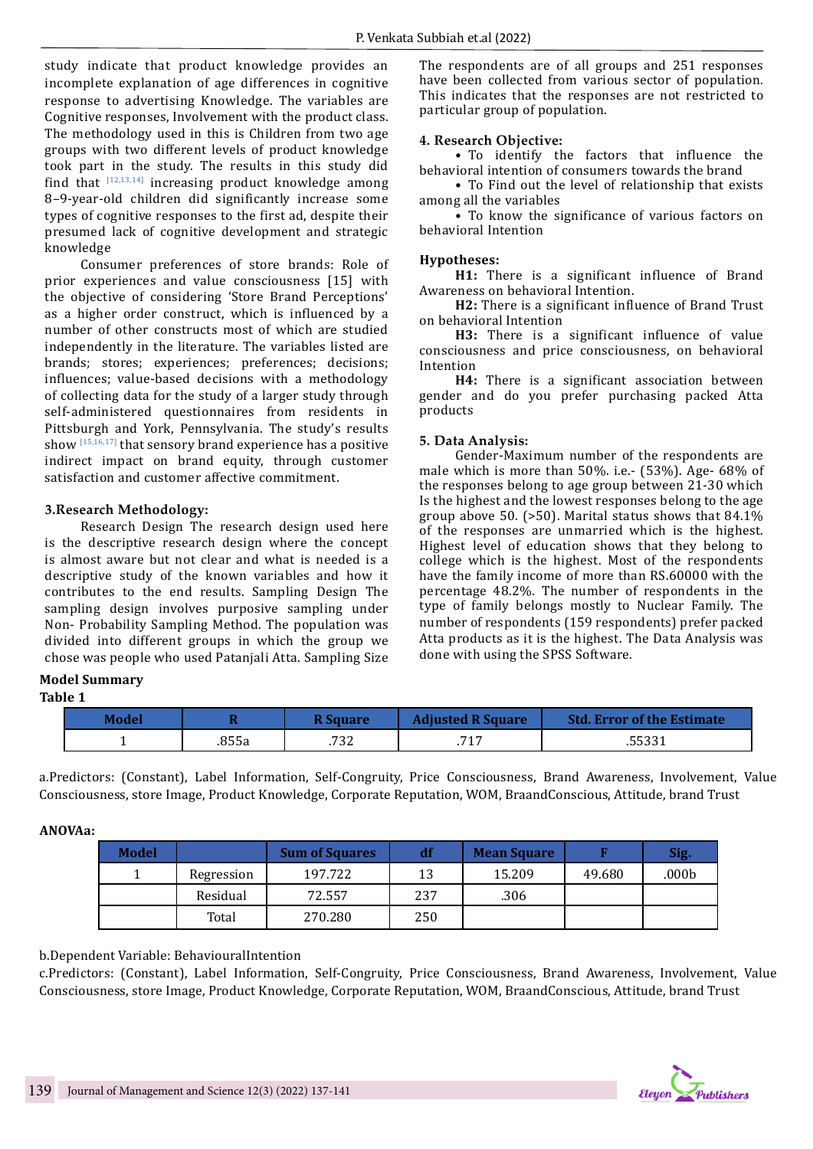study indicate that product knowledge provides an incomplete explanation of age differences in cognitive response to advertising Knowledge. The variables are Cognitive responses, Involvement with the product class. The methodology used in this is Children from two age groups with two different levels of product knowledge took part in the study. The results in this study did find that  $[12,13,14]$  increasing product knowledge among 8–9-year-old children did significantly increase some types of cognitive responses to the first ad, despite their presumed lack of cognitive development and strategic knowledge

Consumer preferences of store brands: Role of prior experiences and value consciousness [15] with the objective of considering 'Store Brand Perceptions' as a higher order construct, which is influenced by a number of other constructs most of which are studied independently in the literature. The variables listed are brands; stores; experiences; preferences; decisions; influences; value-based decisions with a methodology of collecting data for the study of a larger study through self-administered questionnaires from residents in Pittsburgh and York, Pennsylvania. The study's results show  $[15,16,17]$  that sensory brand experience has a positive indirect impact on brand equity, through customer satisfaction and customer affective commitment.

#### **3.Research Methodology:**

Research Design The research design used here is the descriptive research design where the concept is almost aware but not clear and what is needed is a descriptive study of the known variables and how it contributes to the end results. Sampling Design The sampling design involves purposive sampling under Non- Probability Sampling Method. The population was divided into different groups in which the group we chose was people who used Patanjali Atta. Sampling Size

#### **Model Summary Table 1**

The respondents are of all groups and 251 responses have been collected from various sector of population. This indicates that the responses are not restricted to particular group of population.

#### **4. Research Objective:**

• To identify the factors that influence the behavioral intention of consumers towards the brand

• To Find out the level of relationship that exists among all the variables

• To know the significance of various factors on behavioral Intention

#### **Hypotheses:**

**H1:** There is a significant influence of Brand Awareness on behavioral Intention.

**H2:** There is a significant influence of Brand Trust on behavioral Intention

**H3:** There is a significant influence of value consciousness and price consciousness, on behavioral Intention

**H4:** There is a significant association between gender and do you prefer purchasing packed Atta products

#### **5. Data Analysis:**

Gender-Maximum number of the respondents are male which is more than 50%. i.e.- (53%). Age- 68% of the responses belong to age group between 21-30 which Is the highest and the lowest responses belong to the age group above 50. (>50). Marital status shows that 84.1% of the responses are unmarried which is the highest. Highest level of education shows that they belong to college which is the highest. Most of the respondents have the family income of more than RS.60000 with the percentage 48.2%. The number of respondents in the type of family belongs mostly to Nuclear Family. The number of respondents (159 respondents) prefer packed Atta products as it is the highest. The Data Analysis was done with using the SPSS Software.

| Model |       | <b>R Square</b> | <b>Adjusted R Square</b> | <b>Std. Error of the Estimate</b> |
|-------|-------|-----------------|--------------------------|-----------------------------------|
|       | .855a | .732            | 717                      | .55331                            |

a.Predictors: (Constant), Label Information, Self-Congruity, Price Consciousness, Brand Awareness, Involvement, Value Consciousness, store Image, Product Knowledge, Corporate Reputation, WOM, BraandConscious, Attitude, brand Trust

#### **ANOVAa:**

| Model |            | <b>Sum of Squares</b> | df  | <b>Mean Square</b> |        | Sig.  |
|-------|------------|-----------------------|-----|--------------------|--------|-------|
|       | Regression | 197.722               | 13  | 15.209             | 49.680 | .000b |
|       | Residual   | 72.557                | 237 | .306               |        |       |
|       | Total      | 270.280               | 250 |                    |        |       |

#### b.Dependent Variable: BehaviouralIntention

c.Predictors: (Constant), Label Information, Self-Congruity, Price Consciousness, Brand Awareness, Involvement, Value Consciousness, store Image, Product Knowledge, Corporate Reputation, WOM, BraandConscious, Attitude, brand Trust

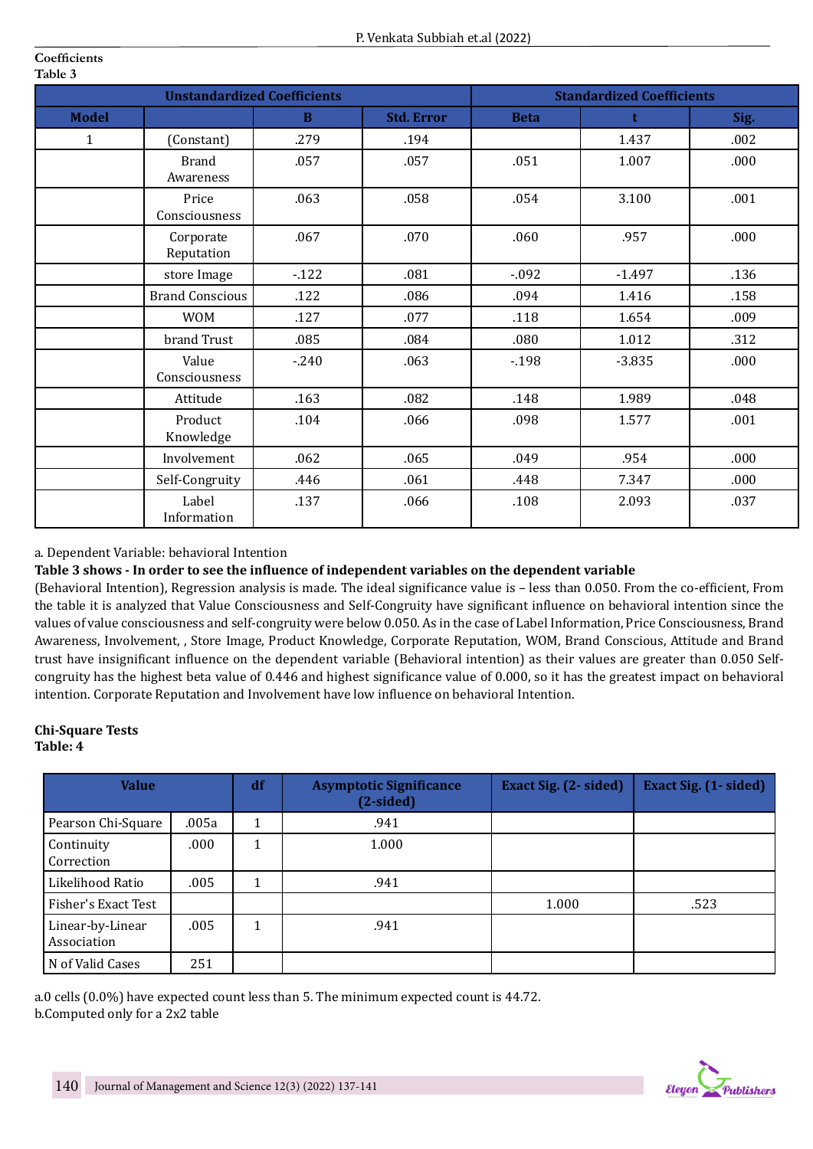| <b>Unstandardized Coefficients</b> |                           |        |                   | <b>Standardized Coefficients</b> |             |      |  |
|------------------------------------|---------------------------|--------|-------------------|----------------------------------|-------------|------|--|
| <b>Model</b>                       |                           | B      | <b>Std. Error</b> | <b>Beta</b>                      | $\mathbf t$ | Sig. |  |
| 1                                  | (Constant)                | .279   | .194              |                                  | 1.437       | .002 |  |
|                                    | <b>Brand</b><br>Awareness | .057   | .057              | .051                             | 1.007       | .000 |  |
|                                    | Price<br>Consciousness    | .063   | .058              | .054                             | 3.100       | .001 |  |
|                                    | Corporate<br>Reputation   | .067   | .070              | .060                             | .957        | .000 |  |
|                                    | store Image               | $-122$ | .081              | $-0.092$                         | $-1.497$    | .136 |  |
|                                    | <b>Brand Conscious</b>    | .122   | .086              | .094                             | 1.416       | .158 |  |
|                                    | <b>WOM</b>                | .127   | .077              | .118                             | 1.654       | .009 |  |
|                                    | brand Trust               | .085   | .084              | .080                             | 1.012       | .312 |  |
|                                    | Value<br>Consciousness    | $-240$ | .063              | $-198$                           | $-3.835$    | .000 |  |
|                                    | Attitude                  | .163   | .082              | .148                             | 1.989       | .048 |  |
|                                    | Product<br>Knowledge      | .104   | .066              | .098                             | 1.577       | .001 |  |
|                                    | Involvement               | .062   | .065              | .049                             | .954        | .000 |  |
|                                    | Self-Congruity            | .446   | .061              | .448                             | 7.347       | .000 |  |
|                                    | Label<br>Information      | .137   | .066              | .108                             | 2.093       | .037 |  |

## a. Dependent Variable: behavioral Intention

## **Table 3 shows - In order to see the influence of independent variables on the dependent variable**

(Behavioral Intention), Regression analysis is made. The ideal significance value is – less than 0.050. From the co-efficient, From the table it is analyzed that Value Consciousness and Self-Congruity have significant influence on behavioral intention since the values of value consciousness and self-congruity were below 0.050. As in the case of Label Information, Price Consciousness, Brand Awareness, Involvement, , Store Image, Product Knowledge, Corporate Reputation, WOM, Brand Conscious, Attitude and Brand trust have insignificant influence on the dependent variable (Behavioral intention) as their values are greater than 0.050 Selfcongruity has the highest beta value of 0.446 and highest significance value of 0.000, so it has the greatest impact on behavioral intention. Corporate Reputation and Involvement have low influence on behavioral Intention.

#### **Chi-Square Tests Table: 4**

**Coefficients**

| <b>Value</b>                    |       | df | <b>Asymptotic Significance</b><br>$(2-sided)$ | <b>Exact Sig. (2- sided)</b> | <b>Exact Sig. (1- sided)</b> |
|---------------------------------|-------|----|-----------------------------------------------|------------------------------|------------------------------|
| Pearson Chi-Square              | .005a |    | .941                                          |                              |                              |
| Continuity<br>Correction        | .000  |    | 1.000                                         |                              |                              |
| Likelihood Ratio                | .005  | 1  | .941                                          |                              |                              |
| Fisher's Exact Test             |       |    |                                               | 1.000                        | .523                         |
| Linear-by-Linear<br>Association | .005  | 1  | .941                                          |                              |                              |
| N of Valid Cases                | 251   |    |                                               |                              |                              |

a.0 cells (0.0%) have expected count less than 5. The minimum expected count is 44.72. b.Computed only for a 2x2 table